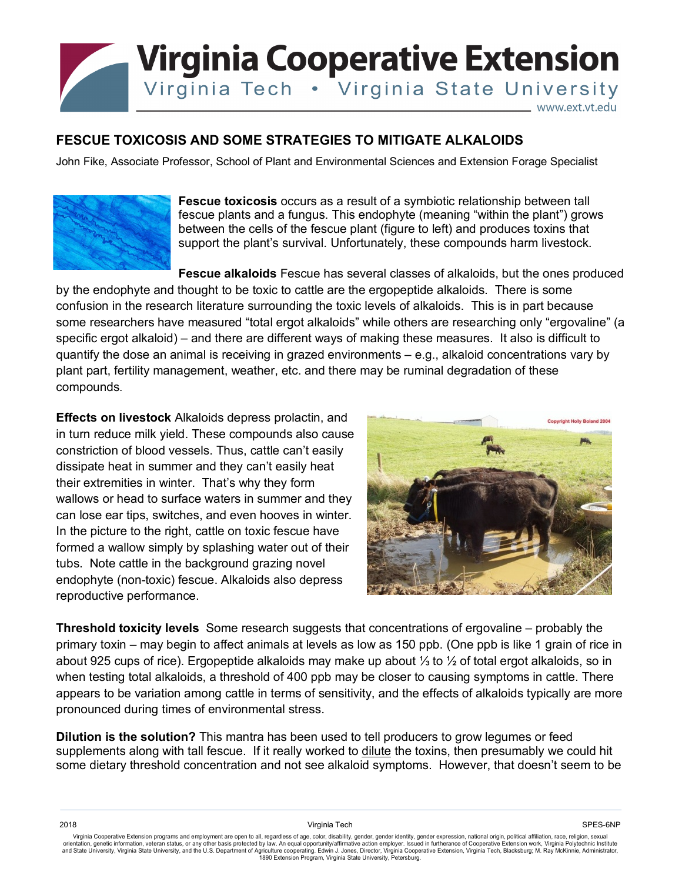

## **FESCUE TOXICOSIS AND SOME STRATEGIES TO MITIGATE ALKALOIDS**

John Fike, Associate Professor, School of Plant and Environmental Sciences and Extension Forage Specialist



**Fescue toxicosis** occurs as a result of a symbiotic relationship between tall fescue plants and a fungus. This endophyte (meaning "within the plant") grows between the cells of the fescue plant (figure to left) and produces toxins that support the plant's survival. Unfortunately, these compounds harm livestock.

**Fescue alkaloids** Fescue has several classes of alkaloids, but the ones produced by the endophyte and thought to be toxic to cattle are the ergopeptide alkaloids. There is some confusion in the research literature surrounding the toxic levels of alkaloids. This is in part because some researchers have measured "total ergot alkaloids" while others are researching only "ergovaline" (a specific ergot alkaloid) – and there are different ways of making these measures. It also is difficult to quantify the dose an animal is receiving in grazed environments – e.g., alkaloid concentrations vary by plant part, fertility management, weather, etc. and there may be ruminal degradation of these compounds.

**Effects on livestock** Alkaloids depress prolactin, and in turn reduce milk yield. These compounds also cause constriction of blood vessels. Thus, cattle can't easily dissipate heat in summer and they can't easily heat their extremities in winter. That's why they form wallows or head to surface waters in summer and they can lose ear tips, switches, and even hooves in winter. In the picture to the right, cattle on toxic fescue have formed a wallow simply by splashing water out of their tubs. Note cattle in the background grazing novel endophyte (non-toxic) fescue. Alkaloids also depress reproductive performance.



**Threshold toxicity levels** Some research suggests that concentrations of ergovaline – probably the primary toxin – may begin to affect animals at levels as low as 150 ppb. (One ppb is like 1 grain of rice in about 925 cups of rice). Ergopeptide alkaloids may make up about ⅓ to ½ of total ergot alkaloids, so in when testing total alkaloids, a threshold of 400 ppb may be closer to causing symptoms in cattle. There appears to be variation among cattle in terms of sensitivity, and the effects of alkaloids typically are more pronounced during times of environmental stress.

**Dilution is the solution?** This mantra has been used to tell producers to grow legumes or feed supplements along with tall fescue. If it really worked to dilute the toxins, then presumably we could hit some dietary threshold concentration and not see alkaloid symptoms. However, that doesn't seem to be

1890 Extension Program, Virginia State University, Petersburg.